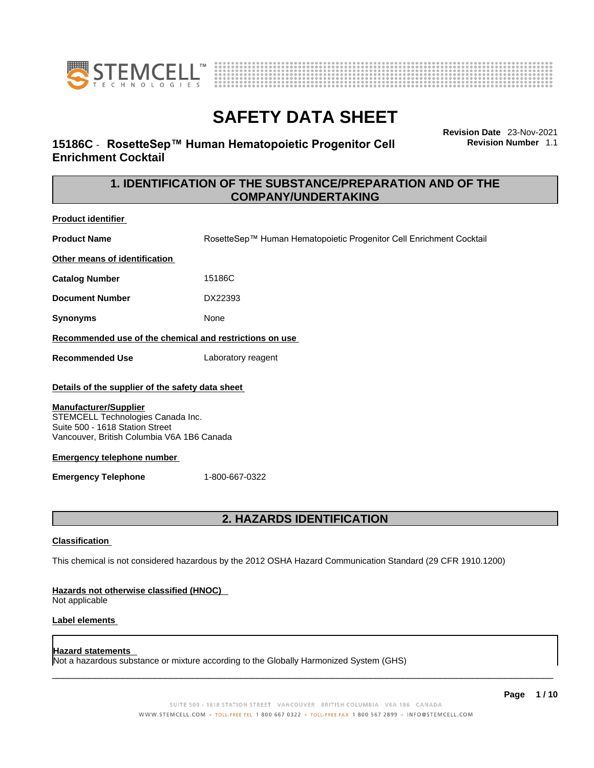



## **15186C** - **RosetteSep™ Human Hematopoietic Progenitor Cell Enrichment Cocktail**

**Revision Date** 23-Nov-2021 **Revision Number** 1.1

## **1. IDENTIFICATION OF THE SUBSTANCE/PREPARATION AND OF THE COMPANY/UNDERTAKING**

| <b>Product identifier</b>                                                                                                                                                                                                                                     |                                                                     |  |  |
|---------------------------------------------------------------------------------------------------------------------------------------------------------------------------------------------------------------------------------------------------------------|---------------------------------------------------------------------|--|--|
| <b>Product Name</b>                                                                                                                                                                                                                                           | RosetteSep™ Human Hematopoietic Progenitor Cell Enrichment Cocktail |  |  |
| Other means of identification                                                                                                                                                                                                                                 |                                                                     |  |  |
| <b>Catalog Number</b>                                                                                                                                                                                                                                         | 15186C                                                              |  |  |
| <b>Document Number</b>                                                                                                                                                                                                                                        | DX22393                                                             |  |  |
| Synonyms                                                                                                                                                                                                                                                      | None                                                                |  |  |
| Recommended use of the chemical and restrictions on use                                                                                                                                                                                                       |                                                                     |  |  |
| <b>Recommended Use</b>                                                                                                                                                                                                                                        | Laboratory reagent                                                  |  |  |
| Details of the supplier of the safety data sheet<br><b>Manufacturer/Supplier</b><br>STEMCELL Technologies Canada Inc.<br>Suite 500 - 1618 Station Street<br>Vancouver, British Columbia V6A 1B6 Canada<br><b>Emergency telephone number</b><br>1-800-667-0322 |                                                                     |  |  |
| <b>Emergency Telephone</b>                                                                                                                                                                                                                                    |                                                                     |  |  |
|                                                                                                                                                                                                                                                               |                                                                     |  |  |
| <b>2. HAZARDS IDENTIFICATION</b>                                                                                                                                                                                                                              |                                                                     |  |  |
| <b>Classification</b>                                                                                                                                                                                                                                         |                                                                     |  |  |
| This chemical is not considered hazardous by the 2012 OSHA Hazard Communication Standard (29 CFR 1910.1200)                                                                                                                                                   |                                                                     |  |  |
| Hazards not otherwise classified (HNOC)<br>Not applicable                                                                                                                                                                                                     |                                                                     |  |  |
| .                                                                                                                                                                                                                                                             |                                                                     |  |  |

This chemical is not considered hazardous by the 2012 OSHA Hazard Communication Standard (29 CFR 1910.1200)

### **Label elements**

### **Hazard statements**

Not a hazardous substance or mixture according to the Globally Harmonized System (GHS)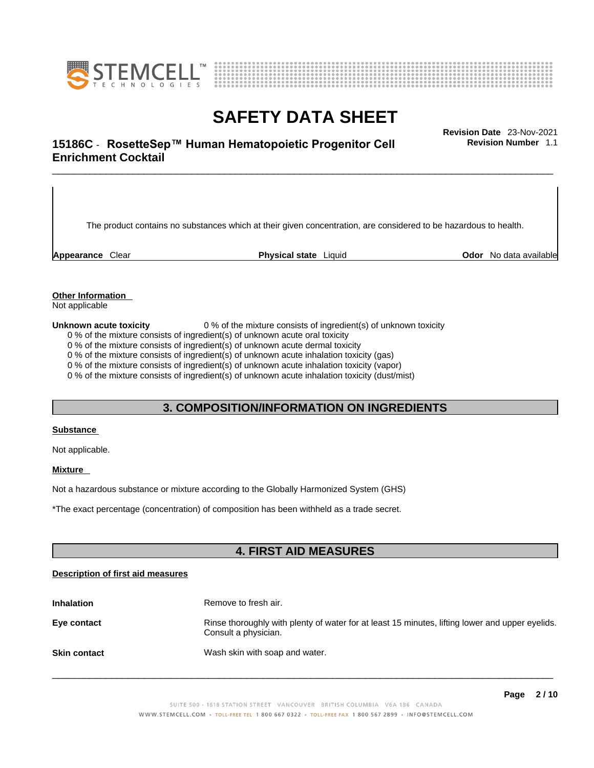



# \_\_\_\_\_\_\_\_\_\_\_\_\_\_\_\_\_\_\_\_\_\_\_\_\_\_\_\_\_\_\_\_\_\_\_\_\_\_\_\_\_\_\_\_\_\_\_\_\_\_\_\_\_\_\_\_\_\_\_\_\_\_\_\_\_\_\_\_\_\_\_\_\_\_\_\_\_\_\_\_\_\_\_\_\_\_\_\_\_\_\_\_\_ **Revision Date** 23-Nov-2021 **15186C** - **RosetteSep™ Human Hematopoietic Progenitor Cell Enrichment Cocktail**

The product contains no substances which at their given concentration, are considered to be hazardous to health.

**Appearance** Clear **Physical state** Liquid **Odor** No data available

**Revision Number** 1.1

**Other Information** 

Not applicable

**Unknown acute toxicity** 0 % of the mixture consists of ingredient(s) of unknown toxicity

0 % of the mixture consists of ingredient(s) of unknown acute oral toxicity

0 % of the mixture consists of ingredient(s) of unknown acute dermal toxicity

0 % of the mixture consists of ingredient(s) of unknown acute inhalation toxicity (gas)

0 % of the mixture consists of ingredient(s) of unknown acute inhalation toxicity (vapor)

0 % of the mixture consists of ingredient(s) of unknown acute inhalation toxicity (dust/mist)

## **3. COMPOSITION/INFORMATION ON INGREDIENTS**

### **Substance**

Not applicable.

### **Mixture**

Not a hazardous substance or mixture according to the Globally Harmonized System (GHS)

\*The exact percentage (concentration) ofcomposition has been withheld as a trade secret.

## **4. FIRST AID MEASURES**

### **Description of first aid measures**

| <b>Inhalation</b>   | Remove to fresh air.                                                                                                    |
|---------------------|-------------------------------------------------------------------------------------------------------------------------|
| Eye contact         | Rinse thoroughly with plenty of water for at least 15 minutes, lifting lower and upper eyelids.<br>Consult a physician. |
| <b>Skin contact</b> | Wash skin with soap and water.                                                                                          |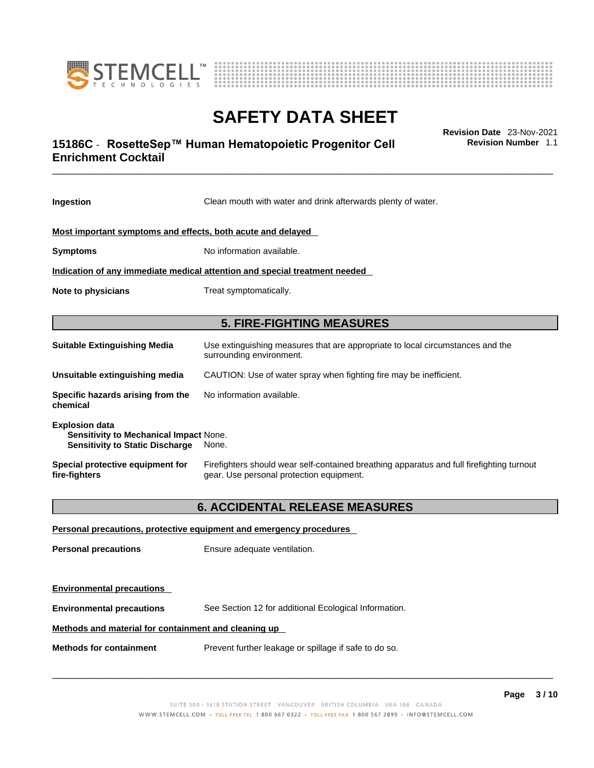



# \_\_\_\_\_\_\_\_\_\_\_\_\_\_\_\_\_\_\_\_\_\_\_\_\_\_\_\_\_\_\_\_\_\_\_\_\_\_\_\_\_\_\_\_\_\_\_\_\_\_\_\_\_\_\_\_\_\_\_\_\_\_\_\_\_\_\_\_\_\_\_\_\_\_\_\_\_\_\_\_\_\_\_\_\_\_\_\_\_\_\_\_\_ **Revision Date** 23-Nov-2021 **15186C** - **RosetteSep™ Human Hematopoietic Progenitor Cell Enrichment Cocktail**

**Revision Number** 1.1

| Ingestion                                                                                                          | Clean mouth with water and drink afterwards plenty of water.                                                                          |  |
|--------------------------------------------------------------------------------------------------------------------|---------------------------------------------------------------------------------------------------------------------------------------|--|
| Most important symptoms and effects, both acute and delayed                                                        |                                                                                                                                       |  |
| <b>Symptoms</b>                                                                                                    | No information available.                                                                                                             |  |
| Indication of any immediate medical attention and special treatment needed                                         |                                                                                                                                       |  |
| <b>Note to physicians</b>                                                                                          | Treat symptomatically.                                                                                                                |  |
|                                                                                                                    | <b>5. FIRE-FIGHTING MEASURES</b>                                                                                                      |  |
| Suitable Extinguishing Media                                                                                       | Use extinguishing measures that are appropriate to local circumstances and the<br>surrounding environment.                            |  |
| Unsuitable extinguishing media                                                                                     | CAUTION: Use of water spray when fighting fire may be inefficient.                                                                    |  |
| Specific hazards arising from the<br>chemical                                                                      | No information available.                                                                                                             |  |
| <b>Explosion data</b><br>Sensitivity to Mechanical Impact None.<br><b>Sensitivity to Static Discharge</b><br>None. |                                                                                                                                       |  |
| Special protective equipment for<br>fire-fighters                                                                  | Firefighters should wear self-contained breathing apparatus and full firefighting turnout<br>gear. Use personal protection equipment. |  |
|                                                                                                                    | <b>6. ACCIDENTAL RELEASE MEASURES</b>                                                                                                 |  |
|                                                                                                                    | Personal precautions, protective equipment and emergency procedures                                                                   |  |
| <b>Personal precautions</b>                                                                                        | Ensure adequate ventilation.                                                                                                          |  |
| <b>Environmental precautions</b>                                                                                   |                                                                                                                                       |  |

**Environmental precautions** See Section 12 for additional Ecological Information.

### **Methods and material for containment and cleaning up**

**Methods for containment** Prevent further leakage or spillage if safe to do so.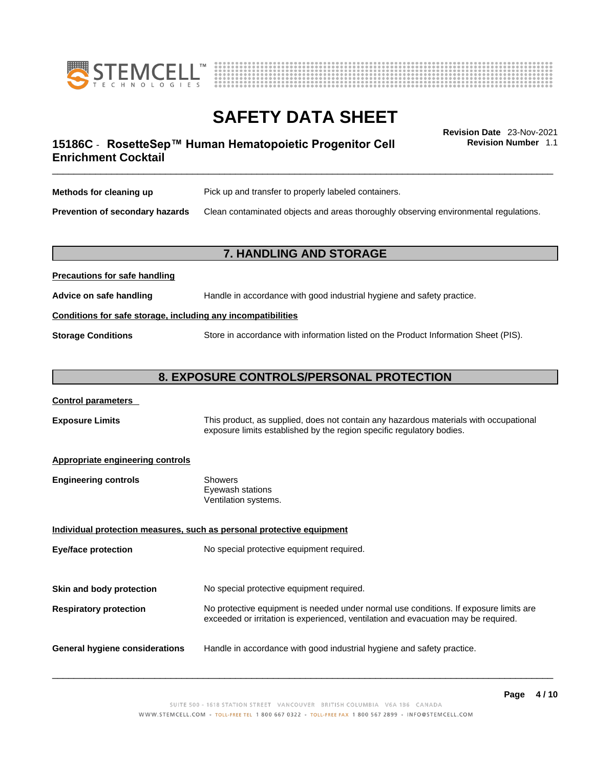



# \_\_\_\_\_\_\_\_\_\_\_\_\_\_\_\_\_\_\_\_\_\_\_\_\_\_\_\_\_\_\_\_\_\_\_\_\_\_\_\_\_\_\_\_\_\_\_\_\_\_\_\_\_\_\_\_\_\_\_\_\_\_\_\_\_\_\_\_\_\_\_\_\_\_\_\_\_\_\_\_\_\_\_\_\_\_\_\_\_\_\_\_\_ **Revision Date** 23-Nov-2021 **15186C** - **RosetteSep™ Human Hematopoietic Progenitor Cell Enrichment Cocktail**

**Revision Number** 1.1

| Methods for cleaning up         | Pick up and transfer to properly labeled containers.                                 |
|---------------------------------|--------------------------------------------------------------------------------------|
| Prevention of secondary hazards | Clean contaminated objects and areas thoroughly observing environmental regulations. |

## **7. HANDLING AND STORAGE**

| Advice on safe handling   | Handle in accordance with good industrial hygiene and safety practice.              |  |
|---------------------------|-------------------------------------------------------------------------------------|--|
|                           | Conditions for safe storage, including any incompatibilities                        |  |
| <b>Storage Conditions</b> | Store in accordance with information listed on the Product Information Sheet (PIS). |  |

### **8. EXPOSURE CONTROLS/PERSONAL PROTECTION**

| <b>Control parameters</b> |
|---------------------------|
|---------------------------|

**Precautions for safe handling**

**Exposure Limits** This product, as supplied, does not contain any hazardous materials with occupational exposure limits established by the region specific regulatory bodies.

### **Appropriate engineering controls**

| <b>Engineering controls</b> | Showers              |  |
|-----------------------------|----------------------|--|
|                             | Eyewash stations     |  |
|                             | Ventilation systems. |  |
|                             |                      |  |

**Individual protection measures, such as personal protective equipment Eye/face protection** No special protective equipment required. **Skin and body protection** No special protective equipment required. **Respiratory protection** No protective equipment is needed under normal use conditions. If exposure limits are exceeded or irritation is experienced, ventilation and evacuation may be required. **General hygiene considerations** Handle in accordance with good industrial hygiene and safety practice.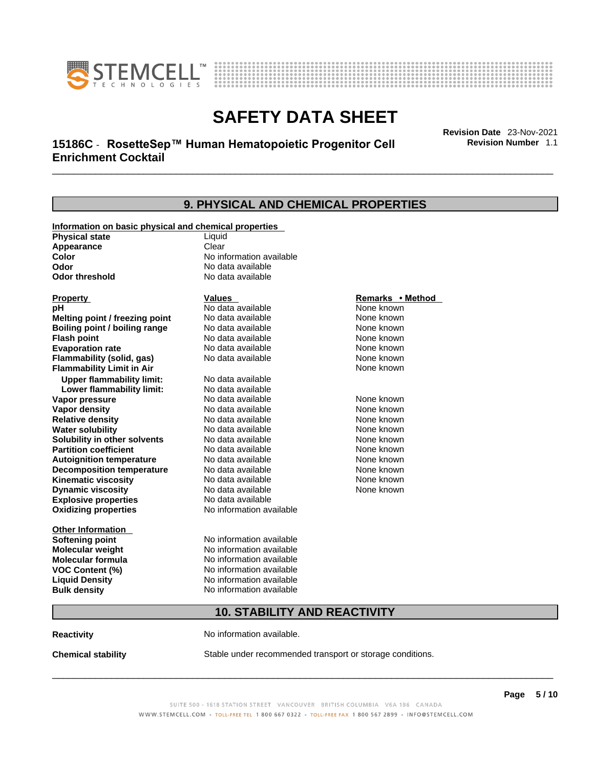



# \_\_\_\_\_\_\_\_\_\_\_\_\_\_\_\_\_\_\_\_\_\_\_\_\_\_\_\_\_\_\_\_\_\_\_\_\_\_\_\_\_\_\_\_\_\_\_\_\_\_\_\_\_\_\_\_\_\_\_\_\_\_\_\_\_\_\_\_\_\_\_\_\_\_\_\_\_\_\_\_\_\_\_\_\_\_\_\_\_\_\_\_\_ **Revision Date** 23-Nov-2021 **15186C** - **RosetteSep™ Human Hematopoietic Progenitor Cell Enrichment Cocktail**

**Revision Number** 1.1

| 9. PHYSICAL AND CHEMICAL PROPERTIES                   |                                     |                  |  |
|-------------------------------------------------------|-------------------------------------|------------------|--|
| Information on basic physical and chemical properties |                                     |                  |  |
| <b>Physical state</b>                                 | Liquid                              |                  |  |
| Appearance                                            | Clear                               |                  |  |
| Color                                                 | No information available            |                  |  |
| Odor                                                  | No data available                   |                  |  |
| Odor threshold                                        | No data available                   |                  |  |
| Property                                              | Values                              | Remarks • Method |  |
| рH                                                    | No data available                   | None known       |  |
| Melting point / freezing point                        | No data available                   | None known       |  |
| Boiling point / boiling range                         | No data available                   | None known       |  |
| <b>Flash point</b>                                    | No data available                   | None known       |  |
| <b>Evaporation rate</b>                               | No data available                   | None known       |  |
| Flammability (solid, gas)                             | No data available                   | None known       |  |
| <b>Flammability Limit in Air</b>                      |                                     | None known       |  |
| <b>Upper flammability limit:</b>                      | No data available                   |                  |  |
| Lower flammability limit:                             | No data available                   |                  |  |
| Vapor pressure                                        | No data available                   | None known       |  |
| Vapor density                                         | No data available                   | None known       |  |
| <b>Relative density</b>                               | No data available                   | None known       |  |
| <b>Water solubility</b>                               | No data available                   | None known       |  |
| Solubility in other solvents                          | No data available                   | None known       |  |
| <b>Partition coefficient</b>                          | No data available                   | None known       |  |
| <b>Autoignition temperature</b>                       | No data available                   | None known       |  |
| <b>Decomposition temperature</b>                      | No data available                   | None known       |  |
| Kinematic viscosity                                   | No data available                   | None known       |  |
| <b>Dynamic viscosity</b>                              | No data available                   | None known       |  |
| <b>Explosive properties</b>                           | No data available                   |                  |  |
| <b>Oxidizing properties</b>                           | No information available            |                  |  |
| <b>Other Information</b>                              |                                     |                  |  |
| <b>Softening point</b>                                | No information available            |                  |  |
| Molecular weight                                      | No information available            |                  |  |
| Molecular formula                                     | No information available            |                  |  |
| <b>VOC Content (%)</b>                                | No information available            |                  |  |
| <b>Liquid Density</b>                                 | No information available            |                  |  |
| <b>Bulk density</b>                                   | No information available            |                  |  |
|                                                       | <b>10. STABILITY AND REACTIVITY</b> |                  |  |
|                                                       |                                     |                  |  |

**Reactivity No information available.** 

**Chemical stability** Stable under recommended transport or storage conditions.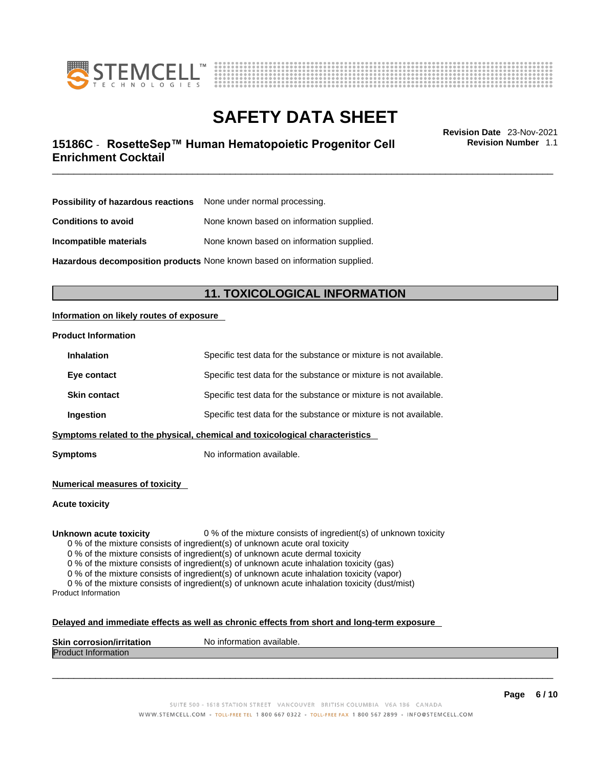



# \_\_\_\_\_\_\_\_\_\_\_\_\_\_\_\_\_\_\_\_\_\_\_\_\_\_\_\_\_\_\_\_\_\_\_\_\_\_\_\_\_\_\_\_\_\_\_\_\_\_\_\_\_\_\_\_\_\_\_\_\_\_\_\_\_\_\_\_\_\_\_\_\_\_\_\_\_\_\_\_\_\_\_\_\_\_\_\_\_\_\_\_\_ **Revision Date** 23-Nov-2021 **15186C** - **RosetteSep™ Human Hematopoietic Progenitor Cell Enrichment Cocktail**

**Revision Number** 1.1

| Possibility of hazardous reactions | None under normal processing.             |
|------------------------------------|-------------------------------------------|
| <b>Conditions to avoid</b>         | None known based on information supplied. |
| Incompatible materials             | None known based on information supplied. |

**Hazardous decomposition products** None known based on information supplied.

## **11. TOXICOLOGICAL INFORMATION**

### **Information on likely routes of exposure**

### **Product Information**

| Ingestion           | Specific test data for the substance or mixture is not available. |
|---------------------|-------------------------------------------------------------------|
| <b>Skin contact</b> | Specific test data for the substance or mixture is not available. |
| Eye contact         | Specific test data for the substance or mixture is not available. |
| <b>Inhalation</b>   | Specific test data for the substance or mixture is not available. |

**Symptoms** No information available.

**Numerical measures of toxicity**

**Acute toxicity**

**Unknown acute toxicity** 0 % of the mixture consists of ingredient(s) of unknown toxicity

0 % of the mixture consists of ingredient(s) of unknown acute oral toxicity

0 % of the mixture consists of ingredient(s) of unknown acute dermal toxicity

0 % of the mixture consists of ingredient(s) of unknown acute inhalation toxicity (gas)

0 % of the mixture consists of ingredient(s) of unknown acute inhalation toxicity (vapor)

0 % of the mixture consists of ingredient(s) of unknown acute inhalation toxicity (dust/mist) Product Information

### **Delayed and immediate effects as well as chronic effects from short and long-term exposure**

| <b>Skin</b><br>. . <i>.</i> .<br>.<br>COL.<br>TOSIOL<br>וומר<br>иноп | `available.<br>N0<br>-inforr<br>папоп |
|----------------------------------------------------------------------|---------------------------------------|
| Drod<br>nation<br>ш                                                  |                                       |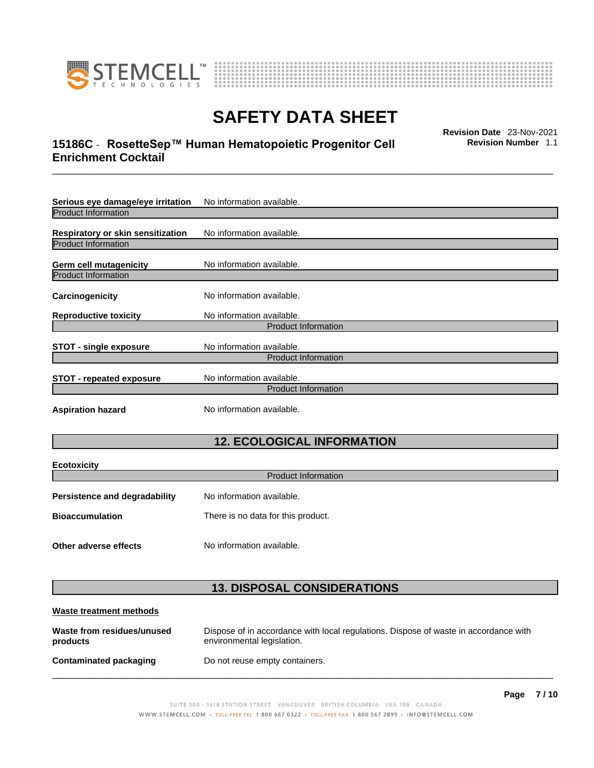

**Ecotoxicity** 



# **SAFETY DATA SHEET**

# \_\_\_\_\_\_\_\_\_\_\_\_\_\_\_\_\_\_\_\_\_\_\_\_\_\_\_\_\_\_\_\_\_\_\_\_\_\_\_\_\_\_\_\_\_\_\_\_\_\_\_\_\_\_\_\_\_\_\_\_\_\_\_\_\_\_\_\_\_\_\_\_\_\_\_\_\_\_\_\_\_\_\_\_\_\_\_\_\_\_\_\_\_ **Revision Date** 23-Nov-2021 **15186C** - **RosetteSep™ Human Hematopoietic Progenitor Cell Enrichment Cocktail**

**Revision Number** 1.1

| Serious eye damage/eye irritation<br>No information available.  |                            |  |
|-----------------------------------------------------------------|----------------------------|--|
| <b>Product Information</b>                                      |                            |  |
| Respiratory or skin sensitization<br><b>Product Information</b> | No information available.  |  |
|                                                                 |                            |  |
| Germ cell mutagenicity                                          | No information available.  |  |
| <b>Product Information</b>                                      |                            |  |
| Carcinogenicity                                                 | No information available.  |  |
| <b>Reproductive toxicity</b>                                    | No information available.  |  |
|                                                                 | <b>Product Information</b> |  |
| <b>STOT - single exposure</b>                                   | No information available.  |  |
|                                                                 | <b>Product Information</b> |  |
| <b>STOT - repeated exposure</b>                                 | No information available.  |  |
|                                                                 | <b>Product Information</b> |  |
| <b>Aspiration hazard</b>                                        | No information available.  |  |

# **12. ECOLOGICAL INFORMATION**

| ECOLOXICITY<br><b>Product Information</b>                         |                                    |  |  |  |
|-------------------------------------------------------------------|------------------------------------|--|--|--|
| No information available.<br><b>Persistence and degradability</b> |                                    |  |  |  |
| <b>Bioaccumulation</b>                                            | There is no data for this product. |  |  |  |
| Other adverse effects                                             | No information available.          |  |  |  |

## **13. DISPOSAL CONSIDERATIONS**

| Waste treatment methods                |                                                                                                                    |
|----------------------------------------|--------------------------------------------------------------------------------------------------------------------|
| Waste from residues/unused<br>products | Dispose of in accordance with local regulations. Dispose of waste in accordance with<br>environmental legislation. |
| Contaminated packaging                 | Do not reuse empty containers.                                                                                     |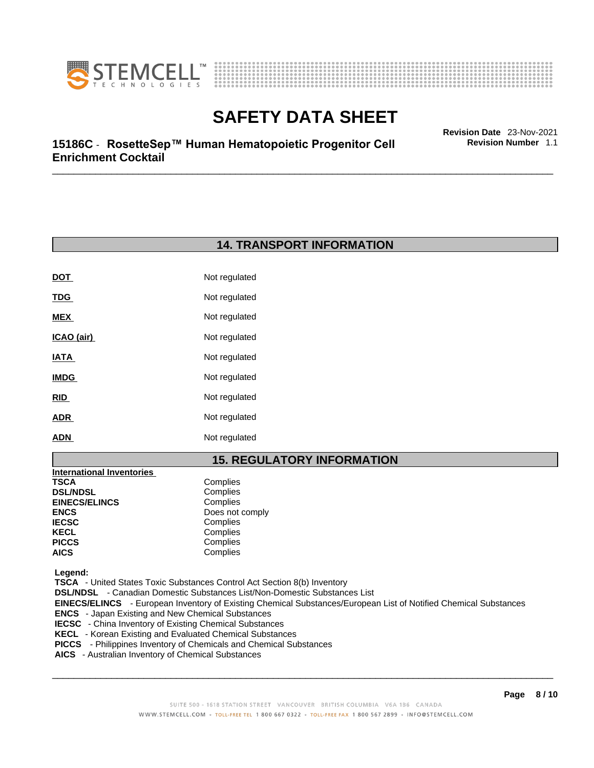



**Revision Number** 1.1

# \_\_\_\_\_\_\_\_\_\_\_\_\_\_\_\_\_\_\_\_\_\_\_\_\_\_\_\_\_\_\_\_\_\_\_\_\_\_\_\_\_\_\_\_\_\_\_\_\_\_\_\_\_\_\_\_\_\_\_\_\_\_\_\_\_\_\_\_\_\_\_\_\_\_\_\_\_\_\_\_\_\_\_\_\_\_\_\_\_\_\_\_\_ **Revision Date** 23-Nov-2021 **15186C** - **RosetteSep™ Human Hematopoietic Progenitor Cell Enrichment Cocktail**

## **14. TRANSPORT INFORMATION**

| <b>DOT</b>  | Not regulated |
|-------------|---------------|
| <u>TDG</u>  | Not regulated |
| MEX         | Not regulated |
| ICAO (air)  | Not regulated |
| IATA        | Not regulated |
| <b>IMDG</b> | Not regulated |
| RID         | Not regulated |
| <b>ADR</b>  | Not regulated |
| <b>ADN</b>  | Not regulated |

## **15. REGULATORY INFORMATION**

| <b>International Inventories</b> |                 |
|----------------------------------|-----------------|
| TSCA                             | Complies        |
| <b>DSL/NDSL</b>                  | Complies        |
| <b>EINECS/ELINCS</b>             | Complies        |
| ENCS                             | Does not comply |
| <b>IECSC</b>                     | Complies        |
| KECL                             | Complies        |
| PICCS                            | Complies        |
| AICS                             | Complies        |
|                                  |                 |

 **Legend:** 

 **TSCA** - United States Toxic Substances Control Act Section 8(b) Inventory

 **DSL/NDSL** - Canadian Domestic Substances List/Non-Domestic Substances List

 **EINECS/ELINCS** - European Inventory of Existing Chemical Substances/European List of Notified Chemical Substances

- **ENCS**  Japan Existing and New Chemical Substances
- **IECSC**  China Inventory of Existing Chemical Substances
- **KECL**  Korean Existing and Evaluated Chemical Substances
- **PICCS**  Philippines Inventory of Chemicals and Chemical Substances
- **AICS**  Australian Inventory of Chemical Substances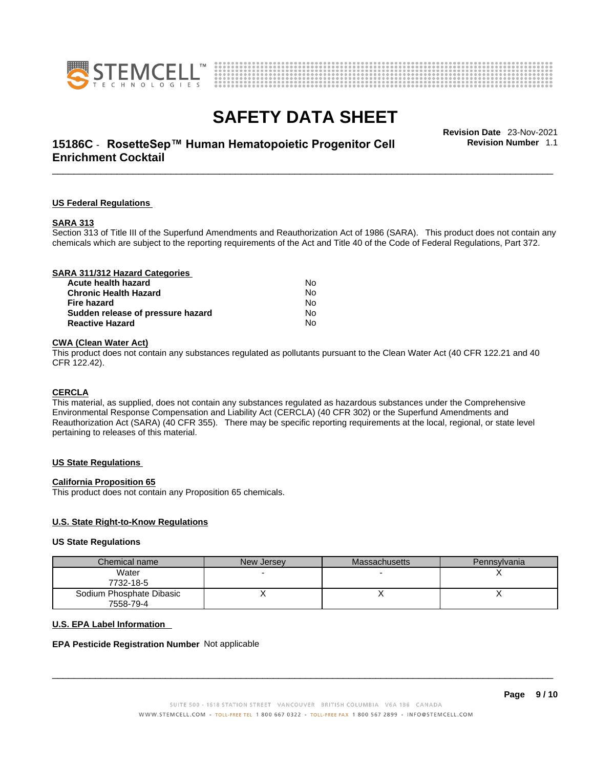



# \_\_\_\_\_\_\_\_\_\_\_\_\_\_\_\_\_\_\_\_\_\_\_\_\_\_\_\_\_\_\_\_\_\_\_\_\_\_\_\_\_\_\_\_\_\_\_\_\_\_\_\_\_\_\_\_\_\_\_\_\_\_\_\_\_\_\_\_\_\_\_\_\_\_\_\_\_\_\_\_\_\_\_\_\_\_\_\_\_\_\_\_\_ **Revision Date** 23-Nov-2021 **15186C** - **RosetteSep™ Human Hematopoietic Progenitor Cell Enrichment Cocktail**

**Revision Number** 1.1

### **US Federal Regulations**

### **SARA 313**

Section 313 of Title III of the Superfund Amendments and Reauthorization Act of 1986 (SARA). This product does not contain any chemicals which are subject to the reporting requirements of the Act and Title 40 of the Code of Federal Regulations, Part 372.

### **CWA** (Clean Water Act)

This product does not contain any substances regulated as pollutants pursuant to the Clean Water Act (40 CFR 122.21 and 40 CFR 122.42).

### **CERCLA**

This material, as supplied, does not contain any substances regulated as hazardous substances under the Comprehensive Environmental Response Compensation and Liability Act (CERCLA) (40 CFR 302) or the Superfund Amendments and Reauthorization Act (SARA) (40 CFR 355). There may be specific reporting requirements at the local, regional, or state level pertaining to releases of this material.

### **US State Regulations**

### **California Proposition 65**

This product does not contain any Proposition 65 chemicals.

### **U.S. State Right-to-Know Regulations**

### **US State Regulations**

| Chemical name            | New Jersey | <b>Massachusetts</b> | Pennsylvania |
|--------------------------|------------|----------------------|--------------|
| Water                    |            |                      |              |
| 7732-18-5                |            |                      |              |
| Sodium Phosphate Dibasic |            |                      |              |
| 7558-79-4                |            |                      |              |

### **U.S. EPA Label Information**

### **EPA Pesticide Registration Number** Not applicable